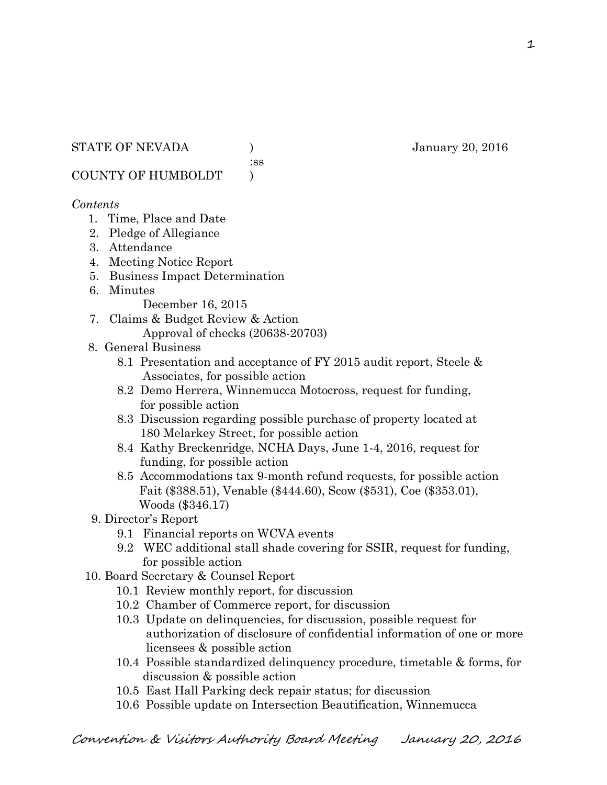:ss

COUNTY OF HUMBOLDT )

# *Contents*

- 1. Time, Place and Date
- 2. Pledge of Allegiance
- 3. Attendance
- 4. Meeting Notice Report
- 5. Business Impact Determination
- 6. Minutes

December 16, 2015

- 7. Claims & Budget Review & Action Approval of checks (20638-20703)
- 8. General Business
	- 8.1 Presentation and acceptance of FY 2015 audit report, Steele & Associates, for possible action
	- 8.2 Demo Herrera, Winnemucca Motocross, request for funding, for possible action
	- 8.3 Discussion regarding possible purchase of property located at 180 Melarkey Street, for possible action
	- 8.4 Kathy Breckenridge, NCHA Days, June 1-4, 2016, request for funding, for possible action
	- 8.5 Accommodations tax 9-month refund requests, for possible action Fait (\$388.51), Venable (\$444.60), Scow (\$531), Coe (\$353.01), Woods (\$346.17)
- 9. Director's Report
	- 9.1 Financial reports on WCVA events
	- 9.2 WEC additional stall shade covering for SSIR, request for funding, for possible action
- 10. Board Secretary & Counsel Report
	- 10.1 Review monthly report, for discussion
	- 10.2 Chamber of Commerce report, for discussion
	- 10.3 Update on delinquencies, for discussion, possible request for authorization of disclosure of confidential information of one or more licensees & possible action
	- 10.4 Possible standardized delinquency procedure, timetable & forms, for discussion & possible action
	- 10.5 East Hall Parking deck repair status; for discussion
	- 10.6 Possible update on Intersection Beautification, Winnemucca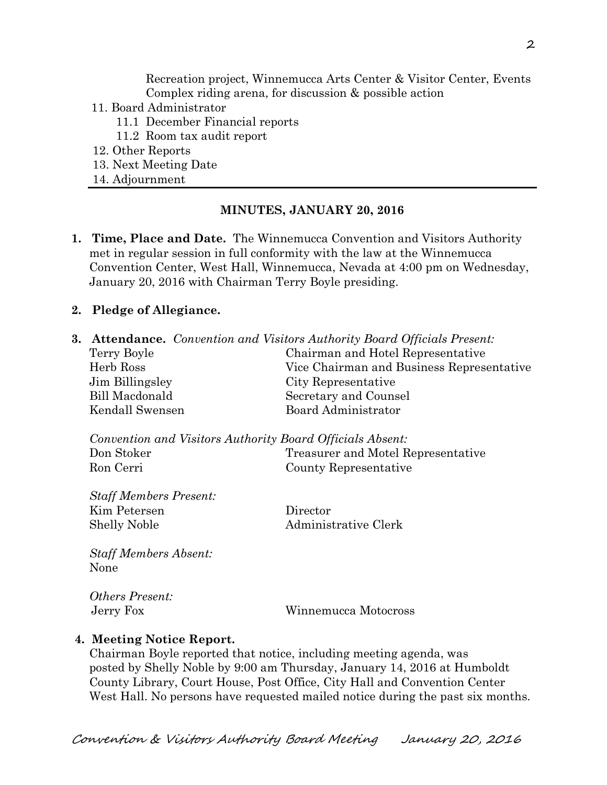Recreation project, Winnemucca Arts Center & Visitor Center, Events Complex riding arena, for discussion & possible action

- 11. Board Administrator
	- 11.1 December Financial reports
	- 11.2 Room tax audit report
- 12. Other Reports
- 13. Next Meeting Date
- 14. Adjournment

### **MINUTES, JANUARY 20, 2016**

**1. Time, Place and Date.** The Winnemucca Convention and Visitors Authority met in regular session in full conformity with the law at the Winnemucca Convention Center, West Hall, Winnemucca, Nevada at 4:00 pm on Wednesday, January 20, 2016 with Chairman Terry Boyle presiding.

### **2. Pledge of Allegiance.**

**3. Attendance.** *Convention and Visitors Authority Board Officials Present:*  Terry Boyle Chairman and Hotel Representative Herb Ross Vice Chairman and Business Representative Jim Billingsley City Representative Bill Macdonald Secretary and Counsel Kendall Swensen Board Administrator

| Convention and Visitors Authority Board Officials Absent: |                                    |
|-----------------------------------------------------------|------------------------------------|
| Don Stoker                                                | Treasurer and Motel Representative |
| Ron Cerri                                                 | County Representative              |

*Staff Members Present:*  Kim Petersen Director Shelly Noble Administrative Clerk

*Staff Members Absent:*  None

*Others Present:* 

Jerry Fox Winnemucca Motocross

#### **4. Meeting Notice Report.**

Chairman Boyle reported that notice, including meeting agenda, was posted by Shelly Noble by 9:00 am Thursday, January 14, 2016 at Humboldt County Library, Court House, Post Office, City Hall and Convention Center West Hall. No persons have requested mailed notice during the past six months.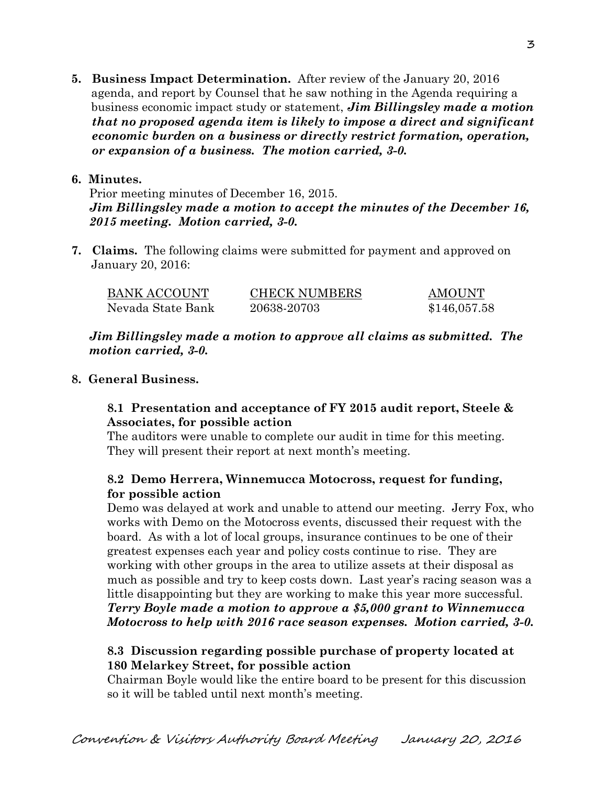**5. Business Impact Determination.** After review of the January 20, 2016 agenda, and report by Counsel that he saw nothing in the Agenda requiring a business economic impact study or statement, *Jim Billingsley made a motion that no proposed agenda item is likely to impose a direct and significant economic burden on a business or directly restrict formation, operation, or expansion of a business. The motion carried, 3-0.* 

## **6. Minutes.**

Prior meeting minutes of December 16, 2015. *Jim Billingsley made a motion to accept the minutes of the December 16, 2015 meeting. Motion carried, 3-0.* 

**7. Claims.** The following claims were submitted for payment and approved on January 20, 2016:

| BANK ACCOUNT      | <b>CHECK NUMBERS</b> | <b>AMOUNT</b> |
|-------------------|----------------------|---------------|
| Nevada State Bank | 20638-20703          | \$146,057.58  |

*Jim Billingsley made a motion to approve all claims as submitted. The motion carried, 3-0.* 

# **8. General Business.**

# **8.1 Presentation and acceptance of FY 2015 audit report, Steele & Associates, for possible action**

The auditors were unable to complete our audit in time for this meeting. They will present their report at next month's meeting.

# **8.2 Demo Herrera, Winnemucca Motocross, request for funding, for possible action**

Demo was delayed at work and unable to attend our meeting. Jerry Fox, who works with Demo on the Motocross events, discussed their request with the board. As with a lot of local groups, insurance continues to be one of their greatest expenses each year and policy costs continue to rise. They are working with other groups in the area to utilize assets at their disposal as much as possible and try to keep costs down. Last year's racing season was a little disappointing but they are working to make this year more successful. *Terry Boyle made a motion to approve a \$5,000 grant to Winnemucca Motocross to help with 2016 race season expenses. Motion carried, 3-0.* 

# **8.3 Discussion regarding possible purchase of property located at 180 Melarkey Street, for possible action**

Chairman Boyle would like the entire board to be present for this discussion so it will be tabled until next month's meeting.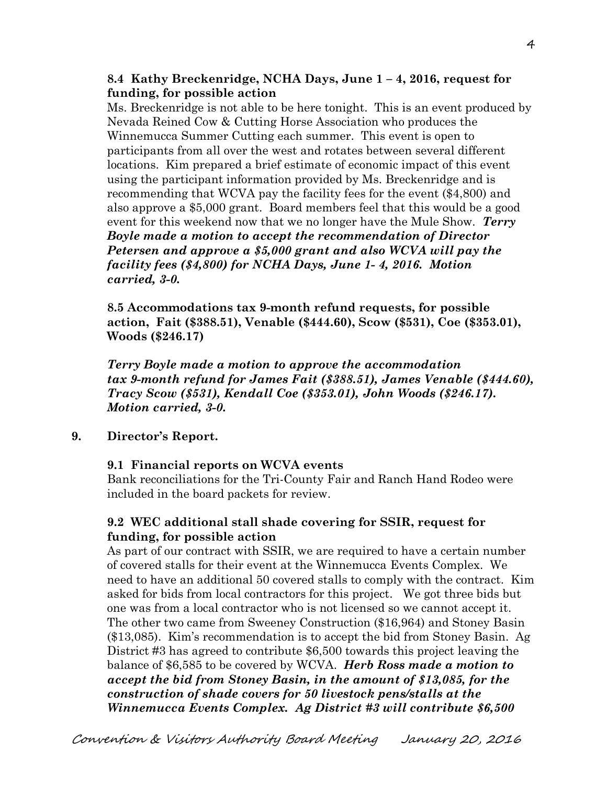**8.4 Kathy Breckenridge, NCHA Days, June 1 – 4, 2016, request for funding, for possible action** 

Ms. Breckenridge is not able to be here tonight. This is an event produced by Nevada Reined Cow & Cutting Horse Association who produces the Winnemucca Summer Cutting each summer. This event is open to participants from all over the west and rotates between several different locations. Kim prepared a brief estimate of economic impact of this event using the participant information provided by Ms. Breckenridge and is recommending that WCVA pay the facility fees for the event (\$4,800) and also approve a \$5,000 grant. Board members feel that this would be a good event for this weekend now that we no longer have the Mule Show. *Terry Boyle made a motion to accept the recommendation of Director Petersen and approve a \$5,000 grant and also WCVA will pay the facility fees (\$4,800) for NCHA Days, June 1- 4, 2016. Motion carried, 3-0.*

**8.5 Accommodations tax 9-month refund requests, for possible action, Fait (\$388.51), Venable (\$444.60), Scow (\$531), Coe (\$353.01), Woods (\$246.17)** 

*Terry Boyle made a motion to approve the accommodation tax 9-month refund for James Fait (\$388.51), James Venable (\$444.60), Tracy Scow (\$531), Kendall Coe (\$353.01), John Woods (\$246.17). Motion carried, 3-0.*

**9. Director's Report.** 

#### **9.1 Financial reports on WCVA events**

Bank reconciliations for the Tri-County Fair and Ranch Hand Rodeo were included in the board packets for review.

## **9.2 WEC additional stall shade covering for SSIR, request for funding, for possible action**

As part of our contract with SSIR, we are required to have a certain number of covered stalls for their event at the Winnemucca Events Complex. We need to have an additional 50 covered stalls to comply with the contract. Kim asked for bids from local contractors for this project. We got three bids but one was from a local contractor who is not licensed so we cannot accept it. The other two came from Sweeney Construction (\$16,964) and Stoney Basin (\$13,085). Kim's recommendation is to accept the bid from Stoney Basin. Ag District #3 has agreed to contribute \$6,500 towards this project leaving the balance of \$6,585 to be covered by WCVA. *Herb Ross made a motion to accept the bid from Stoney Basin, in the amount of \$13,085, for the construction of shade covers for 50 livestock pens/stalls at the Winnemucca Events Complex. Ag District #3 will contribute \$6,500*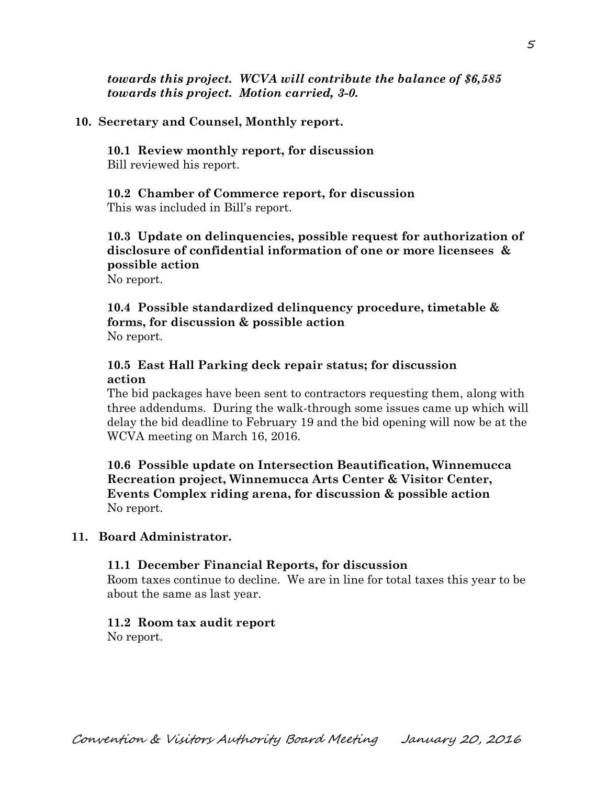*towards this project. WCVA will contribute the balance of \$6,585 towards this project. Motion carried, 3-0.* 

### **10. Secretary and Counsel, Monthly report.**

**10.1 Review monthly report, for discussion**  Bill reviewed his report.

**10.2 Chamber of Commerce report, for discussion**  This was included in Bill's report.

**10.3 Update on delinquencies, possible request for authorization of disclosure of confidential information of one or more licensees & possible action** 

No report.

**10.4 Possible standardized delinquency procedure, timetable & forms, for discussion & possible action**  No report.

## **10.5 East Hall Parking deck repair status; for discussion action**

The bid packages have been sent to contractors requesting them, along with three addendums. During the walk-through some issues came up which will delay the bid deadline to February 19 and the bid opening will now be at the WCVA meeting on March 16, 2016.

**10.6 Possible update on Intersection Beautification, Winnemucca Recreation project, Winnemucca Arts Center & Visitor Center, Events Complex riding arena, for discussion & possible action**  No report.

### **11. Board Administrator.**

#### **11.1 December Financial Reports, for discussion**

Room taxes continue to decline. We are in line for total taxes this year to be about the same as last year.

# **11.2 Room tax audit report**

No report.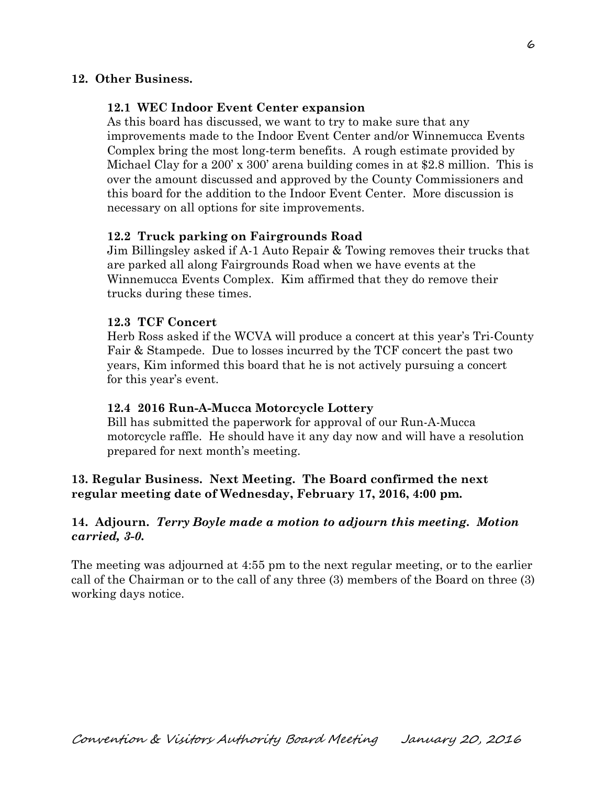## **12. Other Business.**

### **12.1 WEC Indoor Event Center expansion**

As this board has discussed, we want to try to make sure that any improvements made to the Indoor Event Center and/or Winnemucca Events Complex bring the most long-term benefits. A rough estimate provided by Michael Clay for a 200' x 300' arena building comes in at \$2.8 million. This is over the amount discussed and approved by the County Commissioners and this board for the addition to the Indoor Event Center. More discussion is necessary on all options for site improvements.

### **12.2 Truck parking on Fairgrounds Road**

Jim Billingsley asked if A-1 Auto Repair & Towing removes their trucks that are parked all along Fairgrounds Road when we have events at the Winnemucca Events Complex. Kim affirmed that they do remove their trucks during these times.

### **12.3 TCF Concert**

Herb Ross asked if the WCVA will produce a concert at this year's Tri-County Fair & Stampede. Due to losses incurred by the TCF concert the past two years, Kim informed this board that he is not actively pursuing a concert for this year's event.

#### **12.4 2016 Run-A-Mucca Motorcycle Lottery**

Bill has submitted the paperwork for approval of our Run-A-Mucca motorcycle raffle. He should have it any day now and will have a resolution prepared for next month's meeting.

## **13. Regular Business. Next Meeting. The Board confirmed the next regular meeting date of Wednesday, February 17, 2016, 4:00 pm.**

## **14. Adjourn.** *Terry Boyle made a motion to adjourn this meeting. Motion carried, 3-0.*

The meeting was adjourned at 4:55 pm to the next regular meeting, or to the earlier call of the Chairman or to the call of any three (3) members of the Board on three (3) working days notice.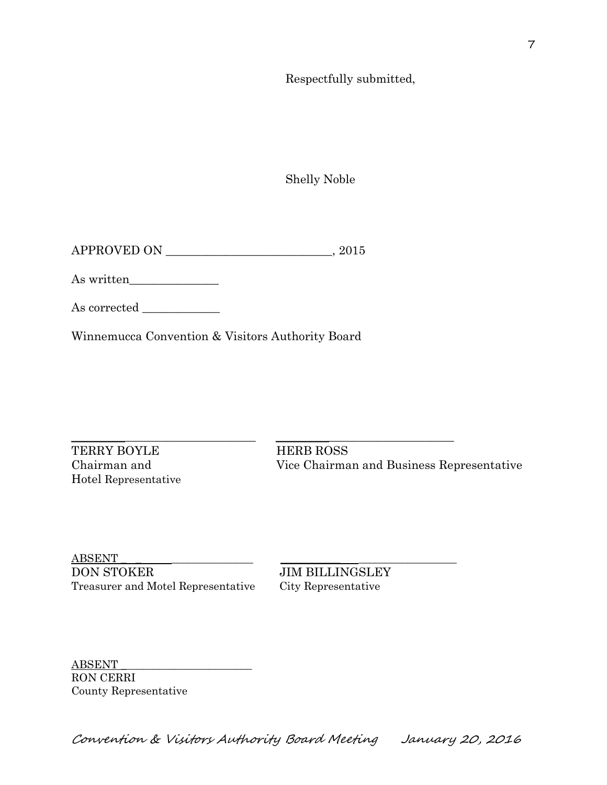Respectfully submitted,

Shelly Noble

APPROVED ON \_\_\_\_\_\_\_\_\_\_\_\_\_\_\_\_\_\_\_\_\_\_\_\_\_\_\_\_, 2015

As written\_\_\_\_\_\_\_\_\_\_\_\_\_\_\_

As corrected

Winnemucca Convention & Visitors Authority Board

 $\_$  ,  $\_$  ,  $\_$  ,  $\_$  ,  $\_$  ,  $\_$  ,  $\_$  ,  $\_$  ,  $\_$  ,  $\_$  ,  $\_$  ,  $\_$  ,  $\_$  ,  $\_$  ,  $\_$  ,  $\_$  ,  $\_$  ,  $\_$  ,  $\_$  ,  $\_$  ,  $\_$  ,  $\_$  ,  $\_$  ,  $\_$  ,  $\_$  ,  $\_$  ,  $\_$  ,  $\_$  ,  $\_$  ,  $\_$  ,  $\_$  ,  $\_$  ,  $\_$  ,  $\_$  ,  $\_$  ,  $\_$  ,  $\_$  ,

TERRY BOYLE HERB ROSS Hotel Representative

Chairman and Vice Chairman and Business Representative

ABSENT \_ \_ \_\_\_\_\_\_\_\_\_\_\_\_\_\_\_ \_\_\_\_\_\_\_\_\_\_\_ \_\_\_\_\_\_\_\_\_\_\_\_\_\_\_\_\_\_ DON STOKER JIM BILLINGSLEY Treasurer and Motel Representative City Representative

ABSENT \_\_\_\_\_\_\_\_\_\_\_\_\_\_\_\_\_\_\_\_\_\_\_\_ RON CERRI County Representative

Convention & Visitors Authority Board Meeting January 20, 2016